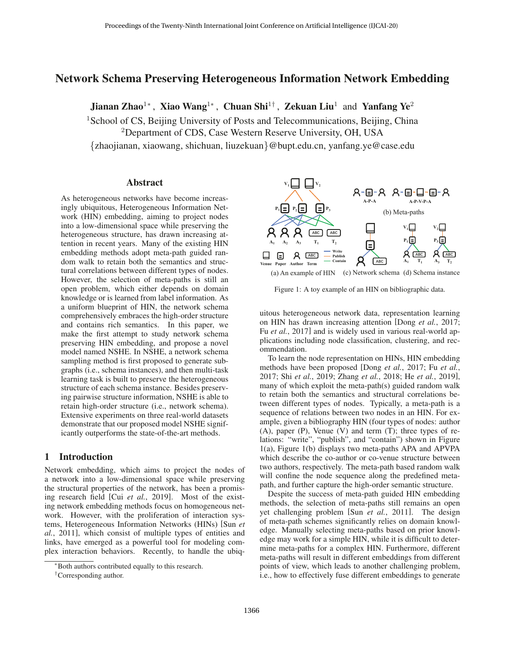# Network Schema Preserving Heterogeneous Information Network Embedding

Jianan Zhao<sup>1</sup><sup>∗</sup>, Xiao Wang<sup>1</sup><sup>∗</sup>, Chuan Shi<sup>1†</sup>, Zekuan Liu<sup>1</sup> and Yanfang Ye<sup>2</sup>

<sup>1</sup>School of CS, Beijing University of Posts and Telecommunications, Beijing, China

<sup>2</sup>Department of CDS, Case Western Reserve University, OH, USA

{zhaojianan, xiaowang, shichuan, liuzekuan}@bupt.edu.cn, yanfang.ye@case.edu

#### Abstract

As heterogeneous networks have become increasingly ubiquitous, Heterogeneous Information Network (HIN) embedding, aiming to project nodes into a low-dimensional space while preserving the heterogeneous structure, has drawn increasing attention in recent years. Many of the existing HIN embedding methods adopt meta-path guided random walk to retain both the semantics and structural correlations between different types of nodes. However, the selection of meta-paths is still an open problem, which either depends on domain knowledge or is learned from label information. As a uniform blueprint of HIN, the network schema comprehensively embraces the high-order structure and contains rich semantics. In this paper, we make the first attempt to study network schema preserving HIN embedding, and propose a novel model named NSHE. In NSHE, a network schema sampling method is first proposed to generate subgraphs (i.e., schema instances), and then multi-task learning task is built to preserve the heterogeneous structure of each schema instance. Besides preserving pairwise structure information, NSHE is able to retain high-order structure (i.e., network schema). Extensive experiments on three real-world datasets demonstrate that our proposed model NSHE significantly outperforms the state-of-the-art methods.

### 1 Introduction

Network embedding, which aims to project the nodes of a network into a low-dimensional space while preserving the structural properties of the network, has been a promising research field [Cui *et al.*, 2019]. Most of the existing network embedding methods focus on homogeneous network. However, with the proliferation of interaction systems, Heterogeneous Information Networks (HINs) [Sun *et al.*, 2011], which consist of multiple types of entities and links, have emerged as a powerful tool for modeling complex interaction behaviors. Recently, to handle the ubiq-



Figure 1: A toy example of an HIN on bibliographic data.

uitous heterogeneous network data, representation learning on HIN has drawn increasing attention [Dong *et al.*, 2017; Fu *et al.*, 2017] and is widely used in various real-world applications including node classification, clustering, and recommendation.

To learn the node representation on HINs, HIN embedding methods have been proposed [Dong *et al.*, 2017; Fu *et al.*, 2017; Shi *et al.*, 2019; Zhang *et al.*, 2018; He *et al.*, 2019], many of which exploit the meta-path(s) guided random walk to retain both the semantics and structural correlations between different types of nodes. Typically, a meta-path is a sequence of relations between two nodes in an HIN. For example, given a bibliography HIN (four types of nodes: author (A), paper (P), Venue (V) and term (T); three types of relations: "write", "publish", and "contain") shown in Figure 1(a), Figure 1(b) displays two meta-paths APA and APVPA which describe the co-author or co-venue structure between two authors, respectively. The meta-path based random walk will confine the node sequence along the predefined metapath, and further capture the high-order semantic structure.

Despite the success of meta-path guided HIN embedding methods, the selection of meta-paths still remains an open yet challenging problem [Sun *et al.*, 2011]. The design of meta-path schemes significantly relies on domain knowledge. Manually selecting meta-paths based on prior knowledge may work for a simple HIN, while it is difficult to determine meta-paths for a complex HIN. Furthermore, different meta-paths will result in different embeddings from different points of view, which leads to another challenging problem, i.e., how to effectively fuse different embeddings to generate

<sup>∗</sup>Both authors contributed equally to this research.

<sup>†</sup>Corresponding author.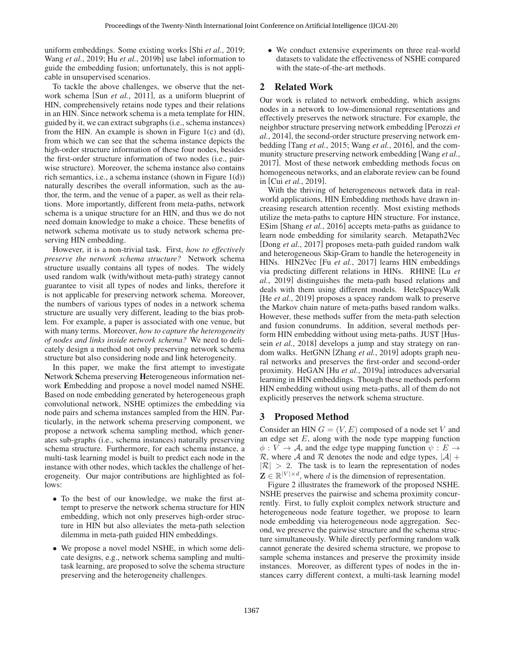uniform embeddings. Some existing works [Shi *et al.*, 2019; Wang *et al.*, 2019; Hu *et al.*, 2019b] use label information to guide the embedding fusion; unfortunately, this is not applicable in unsupervised scenarios.

To tackle the above challenges, we observe that the network schema [Sun *et al.*, 2011], as a uniform blueprint of HIN, comprehensively retains node types and their relations in an HIN. Since network schema is a meta template for HIN, guided by it, we can extract subgraphs (i.e., schema instances) from the HIN. An example is shown in Figure 1(c) and (d), from which we can see that the schema instance depicts the high-order structure information of these four nodes, besides the first-order structure information of two nodes (i.e., pairwise structure). Moreover, the schema instance also contains rich semantics, i.e., a schema instance (shown in Figure 1(d)) naturally describes the overall information, such as the author, the term, and the venue of a paper, as well as their relations. More importantly, different from meta-paths, network schema is a unique structure for an HIN, and thus we do not need domain knowledge to make a choice. These benefits of network schema motivate us to study network schema preserving HIN embedding.

However, it is a non-trivial task. First, *how to effectively preserve the network schema structure?* Network schema structure usually contains all types of nodes. The widely used random walk (with/without meta-path) strategy cannot guarantee to visit all types of nodes and links, therefore it is not applicable for preserving network schema. Moreover, the numbers of various types of nodes in a network schema structure are usually very different, leading to the bias problem. For example, a paper is associated with one venue, but with many terms. Moreover, *how to capture the heterogeneity of nodes and links inside network schema?* We need to delicately design a method not only preserving network schema structure but also considering node and link heterogeneity.

In this paper, we make the first attempt to investigate Network Schema preserving Heterogeneous information network Embedding and propose a novel model named NSHE. Based on node embedding generated by heterogeneous graph convolutional network, NSHE optimizes the embedding via node pairs and schema instances sampled from the HIN. Particularly, in the network schema preserving component, we propose a network schema sampling method, which generates sub-graphs (i.e., schema instances) naturally preserving schema structure. Furthermore, for each schema instance, a multi-task learning model is built to predict each node in the instance with other nodes, which tackles the challenge of heterogeneity. Our major contributions are highlighted as follows:

- To the best of our knowledge, we make the first attempt to preserve the network schema structure for HIN embedding, which not only preserves high-order structure in HIN but also alleviates the meta-path selection dilemma in meta-path guided HIN embeddings.
- We propose a novel model NSHE, in which some delicate designs, e.g., network schema sampling and multitask learning, are proposed to solve the schema structure preserving and the heterogeneity challenges.

• We conduct extensive experiments on three real-world datasets to validate the effectiveness of NSHE compared with the state-of-the-art methods.

## 2 Related Work

Our work is related to network embedding, which assigns nodes in a network to low-dimensional representations and effectively preserves the network structure. For example, the neighbor structure preserving network embedding [Perozzi *et al.*, 2014], the second-order structure preserving network embedding [Tang *et al.*, 2015; Wang *et al.*, 2016], and the community structure preserving network embedding [Wang *et al.*, 2017]. Most of these network embedding methods focus on homogeneous networks, and an elaborate review can be found in [Cui *et al.*, 2019].

With the thriving of heterogeneous network data in realworld applications, HIN Embedding methods have drawn increasing research attention recently. Most existing methods utilize the meta-paths to capture HIN structure. For instance, ESim [Shang *et al.*, 2016] accepts meta-paths as guidance to learn node embedding for similarity search. Metapath2Vec [Dong *et al.*, 2017] proposes meta-path guided random walk and heterogeneous Skip-Gram to handle the heterogeneity in HINs. HIN2Vec [Fu *et al.*, 2017] learns HIN embeddings via predicting different relations in HINs. RHINE [Lu *et al.*, 2019] distinguishes the meta-path based relations and deals with them using different models. HeteSpaceyWalk [He *et al.*, 2019] proposes a spacey random walk to preserve the Markov chain nature of meta-paths based random walks. However, these methods suffer from the meta-path selection and fusion conundrums. In addition, several methods perform HIN embedding without using meta-paths. JUST [Hussein *et al.*, 2018] develops a jump and stay strategy on random walks. HetGNN [Zhang *et al.*, 2019] adopts graph neural networks and preserves the first-order and second-order proximity. HeGAN [Hu *et al.*, 2019a] introduces adversarial learning in HIN embeddings. Though these methods perform HIN embedding without using meta-paths, all of them do not explicitly preserves the network schema structure.

### 3 Proposed Method

Consider an HIN  $G = (V, E)$  composed of a node set V and an edge set  $E$ , along with the node type mapping function  $\phi: V \to \mathcal{A}$ , and the edge type mapping function  $\psi: E \to$ R, where A and R denotes the node and edge types,  $|A|$  +  $|R| > 2$ . The task is to learn the representation of nodes  $\mathbf{Z} \in \mathbb{R}^{|V| \times d}$ , where d is the dimension of representation.

Figure 2 illustrates the framework of the proposed NSHE. NSHE preserves the pairwise and schema proximity concurrently. First, to fully exploit complex network structure and heterogeneous node feature together, we propose to learn node embedding via heterogeneous node aggregation. Second, we preserve the pairwise structure and the schema structure simultaneously. While directly performing random walk cannot generate the desired schema structure, we propose to sample schema instances and preserve the proximity inside instances. Moreover, as different types of nodes in the instances carry different context, a multi-task learning model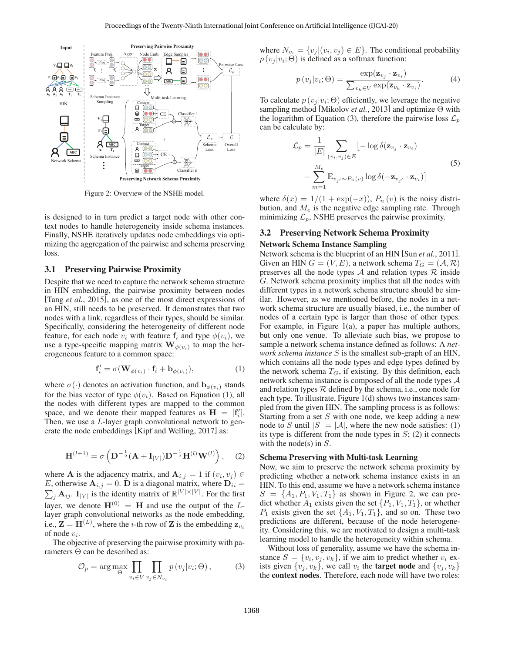

Figure 2: Overview of the NSHE model.

is designed to in turn predict a target node with other context nodes to handle heterogeneity inside schema instances. Finally, NSHE iteratively updates node embeddings via optimizing the aggregation of the pairwise and schema preserving loss.

#### 3.1 Preserving Pairwise Proximity

Despite that we need to capture the network schema structure in HIN embedding, the pairwise proximity between nodes [Tang *et al.*, 2015], as one of the most direct expressions of an HIN, still needs to be preserved. It demonstrates that two nodes with a link, regardless of their types, should be similar. Specifically, considering the heterogeneity of different node feature, for each node  $v_i$  with feature  $f_i$  and type  $\phi(v_i)$ , we use a type-specific mapping matrix  $\mathbf{W}_{\phi(v_i)}$  to map the heterogeneous feature to a common space:

$$
\mathbf{f}'_i = \sigma(\mathbf{W}_{\phi(v_i)} \cdot \mathbf{f}_i + \mathbf{b}_{\phi(v_i)}), \tag{1}
$$

where  $\sigma(\cdot)$  denotes an activation function, and  $\mathbf{b}_{\phi(v_i)}$  stands for the bias vector of type  $\phi(v_i)$ . Based on Equation (1), all the nodes with different types are mapped to the common space, and we denote their mapped features as  $\mathbf{H} = [\mathbf{f}'_i]$ .<br>Then we use a *L*-laver graph convolutional network to gen-Then, we use a L-layer graph convolutional network to generate the node embeddings [Kipf and Welling, 2017] as:

$$
\mathbf{H}^{(l+1)} = \sigma \left( \mathbf{D}^{-\frac{1}{2}} (\mathbf{A} + \mathbf{I}_{|V|}) \mathbf{D}^{-\frac{1}{2}} \mathbf{H}^{(l)} \mathbf{W}^{(l)} \right), \quad (2)
$$

where **A** is the adjacency matrix, and  $\mathbf{A}_{i,j} = 1$  if  $(v_i, v_j) \in$ <br>*E* otherwise  $\mathbf{A}_{i,j} = 0$  **D** is a diagonal matrix, where  $\mathbf{D}_{ij} =$ E, otherwise  $\mathbf{A}_{i,j} = 0$ .  $\mathbf{D}$  is a diagonal matrix, where  $\mathbf{D}_{ii} = \sum_i \mathbf{A}_{ij}$ .  $\mathbf{I}_{|V|}$  is the identity matrix of  $\mathbb{R}^{|V| \times |V|}$ . For the first  $j$   $\mathbf{A}_{ij}$ .  $\mathbf{I}_{|V|}$  is the identity matrix of  $\mathbb{R}^{|V| \times |V|}$ . For the first layer, we denote  $H^{(0)} = H$  and use the output of the Llayer graph convolutional networks as the node embedding, i.e.,  $\mathbf{Z} = \mathbf{H}^{(L)}$ , where the *i*-th row of **Z** is the embedding  $\mathbf{z}_{v_i}$  of node *i*. of node  $v_i$ .

The objective of preserving the pairwise proximity with parameters Θ can be described as:

$$
\mathcal{O}_p = \arg \max_{\Theta} \prod_{v_i \in V} \prod_{v_j \in N_{v_i}} p(v_j | v_i; \Theta), \tag{3}
$$

where  $N_{v_i} = \{v_j | (v_i, v_j) \in E\}$ . The conditional probability  $p(v_i | v_i; \Theta)$  is defined as a softmax function:

$$
p(v_j|v_i; \Theta) = \frac{\exp(\mathbf{z}_{v_j} \cdot \mathbf{z}_{v_i})}{\sum_{v_k \in V} \exp(\mathbf{z}_{v_k} \cdot \mathbf{z}_{v_i})}.
$$
 (4)

To calculate  $p(v_i | v_i; \Theta)$  efficiently, we leverage the negative sampling method [Mikolov *et al.*, 2013] and optimize Θ with the logarithm of Equation (3), therefore the pairwise loss  $\mathcal{L}_p$ can be calculate by:

$$
\mathcal{L}_p = \frac{1}{|E|} \sum_{(v_i, v_j) \in E} \left[ -\log \delta(\mathbf{z}_{v_j} \cdot \mathbf{z}_{v_i}) - \sum_{m=1}^{M_e} \mathbb{E}_{v_{j'} \sim P_n(v)} \log \delta(-\mathbf{z}_{v_{j'}} \cdot \mathbf{z}_{v_i}) \right]
$$
\n(5)

where  $\delta(x)=1/(1 + \exp(-x))$ ,  $P_n(v)$  is the noisy distribution, and  $M_e$  is the negative edge sampling rate. Through minimizing  $\mathcal{L}_p$ , NSHE preserves the pairwise proximity.

### 3.2 Preserving Network Schema Proximity Network Schema Instance Sampling

Network schema is the blueprint of an HIN [Sun *et al.*, 2011]. Given an HIN  $G = (V, E)$ , a network schema  $T_G = (A, \mathcal{R})$ preserves all the node types  $A$  and relation types  $R$  inside G. Network schema proximity implies that all the nodes with different types in a network schema structure should be similar. However, as we mentioned before, the nodes in a network schema structure are usually biased, i.e., the number of nodes of a certain type is larger than those of other types. For example, in Figure 1(a), a paper has multiple authors, but only one venue. To alleviate such bias, we propose to sample a network schema instance defined as follows: A *network schema instance* S is the smallest sub-graph of an HIN, which contains all the node types and edge types defined by the network schema  $T_G$ , if existing. By this definition, each network schema instance is composed of all the node types A and relation types  $R$  defined by the schema, i.e., one node for each type. To illustrate, Figure 1(d) shows two instances sampled from the given HIN. The sampling process is as follows: Starting from a set  $S$  with one node, we keep adding a new node to S until  $|S| = |A|$ , where the new node satisfies: (1) its type is different from the node types in  $S$ ; (2) it connects with the node(s) in  $S$ .

#### Schema Preserving with Multi-task Learning

Now, we aim to preserve the network schema proximity by predicting whether a network schema instance exists in an HIN. To this end, assume we have a network schema instance  $S = \{A_1, P_1, V_1, T_1\}$  as shown in Figure 2, we can predict whether  $A_1$  exists given the set  $\{P_1, V_1, T_1\}$ , or whether  $P_1$  exists given the set  $\{A_1, V_1, T_1\}$ , and so on. These two predictions are different, because of the node heterogeneity. Considering this, we are motivated to design a multi-task learning model to handle the heterogeneity within schema.

Without loss of generality, assume we have the schema instance  $S = \{v_i, v_j, v_k\}$ , if we aim to predict whether  $v_i$  exists given  $\{v_i, v_k\}$ , we call  $v_i$  the **target node** and  $\{v_i, v_k\}$ the context nodes. Therefore, each node will have two roles: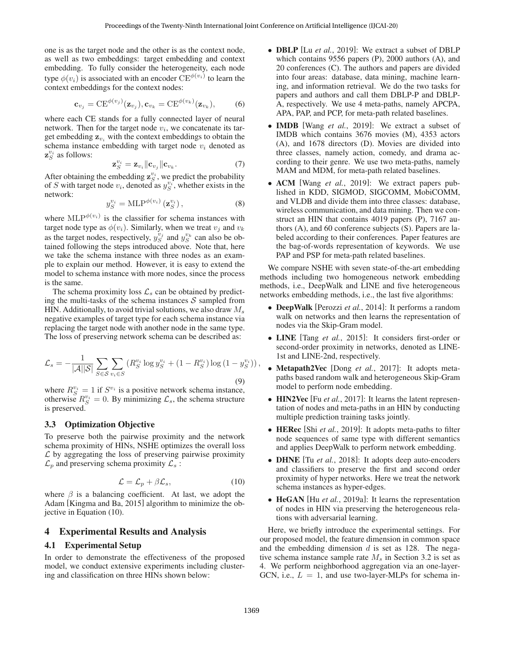one is as the target node and the other is as the context node, as well as two embeddings: target embedding and context embedding. To fully consider the heterogeneity, each node type  $\phi(v_i)$  is associated with an encoder  $\text{CE}^{\phi(v_i)}$  to learn the context embeddings for the context nodes:

$$
\mathbf{c}_{v_j} = \mathrm{CE}^{\phi(v_j)}(\mathbf{z}_{v_j}), \mathbf{c}_{v_k} = \mathrm{CE}^{\phi(v_k)}(\mathbf{z}_{v_k}), \quad (6)
$$

where each CE stands for a fully connected layer of neural network. Then for the target node  $v_i$ , we concatenate its target embedding  $z_{v_i}$  with the context embeddings to obtain the schema instance embedding with target node  $v_i$  denoted as  $\mathbf{z}_{S}^{v_i}$  as follows:

$$
\mathbf{z}_{S}^{v_i} = \mathbf{z}_{v_i} \|\mathbf{c}_{v_j}\|\mathbf{c}_{v_k}.\tag{7}
$$

 $\mathbf{z}_S^{v_i} = \mathbf{z}_{v_i} || \mathbf{c}_{v_j} || \mathbf{c}_{v_k}$ . (7)<br>After obtaining the embedding  $\mathbf{z}_S^{v_i}$ , we predict the probability of S with target node  $v_i$ , denoted as  $y_S^{v_i}$ , whether exists in the network:

$$
y_S^{v_i} = \text{MLP}^{\phi(v_i)}\left(\mathbf{z}_S^{v_i}\right),\tag{8}
$$

where  $MLP^{\phi(v_i)}$  is the classifier for schema instances with target node type as  $\phi(v_i)$ . Similarly when we treat  $v_i$  and  $v_i$ . target node type as  $\phi(v_i)$ . Similarly, when we treat  $v_j$  and  $v_k$ as the target nodes, respectively,  $y_S^{v_j}$  and  $y_S^{v_k}$  can also be obtained following the steps introduced above. Note that, here we take the schema instance with three nodes as an example to explain our method. However, it is easy to extend the model to schema instance with more nodes, since the process is the same.

The schema proximity loss  $\mathcal{L}_s$  can be obtained by predicting the multi-tasks of the schema instances  $S$  sampled from HIN. Additionally, to avoid trivial solutions, we also draw  $M_s$ negative examples of target type for each schema instance via replacing the target node with another node in the same type. The loss of preserving network schema can be described as:

$$
\mathcal{L}_s = -\frac{1}{|\mathcal{A}||\mathcal{S}|} \sum_{S \in \mathcal{S}} \sum_{v_i \in S} \left( R_S^{v_i} \log y_S^{v_i} + (1 - R_S^{v_i}) \log \left( 1 - y_S^{v_i} \right) \right),\tag{9}
$$

where  $R_S^{v_i} = 1$  if  $S^{v_i}$  is a positive network schema instance,<br>otherwise  $R_S^{v_i} = 0$ . By minimizing  $\mathcal{L}_s$ , the schema structure<br>is preserved is preserved.

#### 3.3 Optimization Objective

To preserve both the pairwise proximity and the network schema proximity of HINs, NSHE optimizes the overall loss  $\mathcal L$  by aggregating the loss of preserving pairwise proximity  $\mathcal{L}_p$  and preserving schema proximity  $\mathcal{L}_s$ :

$$
\mathcal{L} = \mathcal{L}_p + \beta \mathcal{L}_s,\tag{10}
$$

 $\mathcal{L} = \mathcal{L}_p + \beta \mathcal{L}_s,$  (10)<br>where  $\beta$  is a balancing coefficient. At last, we adopt the Adam [Kingma and Ba, 2015] algorithm to minimize the objective in Equation (10).

### 4 Experimental Results and Analysis

#### 4.1 Experimental Setup

In order to demonstrate the effectiveness of the proposed model, we conduct extensive experiments including clustering and classification on three HINs shown below:

- DBLP [Lu *et al.*, 2019]: We extract a subset of DBLP which contains 9556 papers (P), 2000 authors (A), and 20 conferences (C). The authors and papers are divided into four areas: database, data mining, machine learning, and information retrieval. We do the two tasks for papers and authors and call them DBLP-P and DBLP-A, respectively. We use 4 meta-paths, namely APCPA, APA, PAP, and PCP, for meta-path related baselines.
- IMDB [Wang *et al.*, 2019]: We extract a subset of IMDB which contains 3676 movies (M), 4353 actors (A), and 1678 directors (D). Movies are divided into three classes, namely action, comedy, and drama according to their genre. We use two meta-paths, namely MAM and MDM, for meta-path related baselines.
- ACM [Wang *et al.*, 2019]: We extract papers published in KDD, SIGMOD, SIGCOMM, MobiCOMM, and VLDB and divide them into three classes: database, wireless communication, and data mining. Then we construct an HIN that contains 4019 papers (P), 7167 authors (A), and 60 conference subjects (S). Papers are labeled according to their conferences. Paper features are the bag-of-words representation of keywords. We use PAP and PSP for meta-path related baselines.

We compare NSHE with seven state-of-the-art embedding methods including two homogeneous network embedding methods, i.e., DeepWalk and LINE and five heterogeneous networks embedding methods, i.e., the last five algorithms:

- DeepWalk [Perozzi *et al.*, 2014]: It performs a random walk on networks and then learns the representation of nodes via the Skip-Gram model.
- LINE [Tang *et al.*, 2015]: It considers first-order or second-order proximity in networks, denoted as LINE-1st and LINE-2nd, respectively.
- **Metapath2Vec** [Dong *et al.*, 2017]: It adopts metapaths based random walk and heterogeneous Skip-Gram model to perform node embedding.
- **HIN2Vec** [Fu *et al.*, 2017]: It learns the latent representation of nodes and meta-paths in an HIN by conducting multiple prediction training tasks jointly.
- HERec [Shi *et al.*, 2019]: It adopts meta-paths to filter node sequences of same type with different semantics and applies DeepWalk to perform network embedding.
- **DHNE** [Tu *et al.*, 2018]: It adopts deep auto-encoders and classifiers to preserve the first and second order proximity of hyper networks. Here we treat the network schema instances as hyper-edges.
- **HeGAN** [Hu *et al.*, 2019a]: It learns the representation of nodes in HIN via preserving the heterogeneous relations with adversarial learning.

Here, we briefly introduce the experimental settings. For our proposed model, the feature dimension in common space and the embedding dimension  $d$  is set as 128. The negative schema instance sample rate  $M_s$  in Section 3.2 is set as 4. We perform neighborhood aggregation via an one-layer-GCN, i.e.,  $L = 1$ , and use two-layer-MLPs for schema in-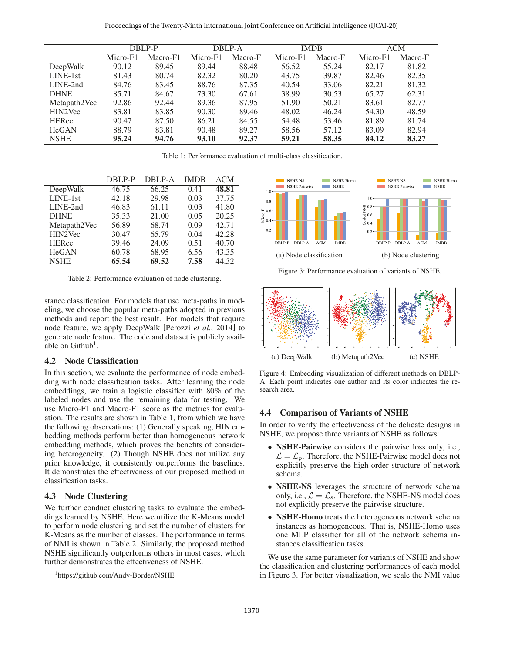Proceedings of the Twenty-Ninth International Joint Conference on Artificial Intelligence (IJCAI-20)

|              | DBLP-P   |          | DBLP-A   |          | <b>IMDB</b> |          | ACM      |          |
|--------------|----------|----------|----------|----------|-------------|----------|----------|----------|
|              | Micro-F1 | Macro-F1 | Micro-F1 | Macro-F1 | Micro-F1    | Macro-F1 | Micro-F1 | Macro-F1 |
| DeepWalk     | 90.12    | 89.45    | 89.44    | 88.48    | 56.52       | 55.24    | 82.17    | 81.82    |
| LINE-1st     | 81.43    | 80.74    | 82.32    | 80.20    | 43.75       | 39.87    | 82.46    | 82.35    |
| $LINE-2nd$   | 84.76    | 83.45    | 88.76    | 87.35    | 40.54       | 33.06    | 82.21    | 81.32    |
| <b>DHNE</b>  | 85.71    | 84.67    | 73.30    | 67.61    | 38.99       | 30.53    | 65.27    | 62.31    |
| Metapath2Vec | 92.86    | 92.44    | 89.36    | 87.95    | 51.90       | 50.21    | 83.61    | 82.77    |
| HIN2Vec      | 83.81    | 83.85    | 90.30    | 89.46    | 48.02       | 46.24    | 54.30    | 48.59    |
| <b>HERec</b> | 90.47    | 87.50    | 86.21    | 84.55    | 54.48       | 53.46    | 81.89    | 81.74    |
| <b>HeGAN</b> | 88.79    | 83.81    | 90.48    | 89.27    | 58.56       | 57.12    | 83.09    | 82.94    |
| <b>NSHE</b>  | 95.24    | 94.76    | 93.10    | 92.37    | 59.21       | 58.35    | 84.12    | 83.27    |

Table 1: Performance evaluation of multi-class classification.

|              | DBLP-P | DBLP-A | <b>IMDB</b> | <b>ACM</b> |
|--------------|--------|--------|-------------|------------|
| DeepWalk     | 46.75  | 66.25  | 0.41        | 48.81      |
| $LINE-1st$   | 42.18  | 29.98  | 0.03        | 37.75      |
| LINE-2nd     | 46.83  | 61.11  | 0.03        | 41.80      |
| <b>DHNE</b>  | 35.33  | 21.00  | 0.05        | 20.25      |
| Metapath2Vec | 56.89  | 68.74  | 0.09        | 42.71      |
| HIN2Vec      | 30.47  | 65.79  | 0.04        | 42.28      |
| <b>HERec</b> | 39.46  | 24.09  | 0.51        | 40.70      |
| <b>HeGAN</b> | 60.78  | 68.95  | 6.56        | 43.35      |
| <b>NSHE</b>  | 65.54  | 69.52  | 7.58        | 44.32      |

Table 2: Performance evaluation of node clustering.

stance classification. For models that use meta-paths in modeling, we choose the popular meta-paths adopted in previous methods and report the best result. For models that require node feature, we apply DeepWalk [Perozzi *et al.*, 2014] to generate node feature. The code and dataset is publicly available on  $Github<sup>1</sup>$ .

#### 4.2 Node Classification

In this section, we evaluate the performance of node embedding with node classification tasks. After learning the node embeddings, we train a logistic classifier with 80% of the labeled nodes and use the remaining data for testing. We use Micro-F1 and Macro-F1 score as the metrics for evaluation. The results are shown in Table 1, from which we have the following observations: (1) Generally speaking, HIN embedding methods perform better than homogeneous network embedding methods, which proves the benefits of considering heterogeneity. (2) Though NSHE does not utilize any prior knowledge, it consistently outperforms the baselines. It demonstrates the effectiveness of our proposed method in classification tasks.

#### 4.3 Node Clustering

We further conduct clustering tasks to evaluate the embeddings learned by NSHE. Here we utilize the K-Means model to perform node clustering and set the number of clusters for K-Means as the number of classes. The performance in terms of NMI is shown in Table 2. Similarly, the proposed method NSHE significantly outperforms others in most cases, which further demonstrates the effectiveness of NSHE.



Figure 3: Performance evaluation of variants of NSHE.



Figure 4: Embedding visualization of different methods on DBLP-A. Each point indicates one author and its color indicates the research area.

#### 4.4 Comparison of Variants of NSHE

In order to verify the effectiveness of the delicate designs in NSHE, we propose three variants of NSHE as follows:

- NSHE-Pairwise considers the pairwise loss only, i.e.,  $\mathcal{L} = \mathcal{L}_p$ . Therefore, the NSHE-Pairwise model does not explicitly preserve the high-order structure of network schema.
- NSHE-NS leverages the structure of network schema only, i.e.,  $\mathcal{L} = \mathcal{L}_s$ . Therefore, the NSHE-NS model does not explicitly preserve the pairwise structure.
- NSHE-Homo treats the heterogeneous network schema instances as homogeneous. That is, NSHE-Homo uses one MLP classifier for all of the network schema instances classification tasks.

We use the same parameter for variants of NSHE and show the classification and clustering performances of each model in Figure 3. For better visualization, we scale the NMI value

<sup>1</sup> https://github.com/Andy-Border/NSHE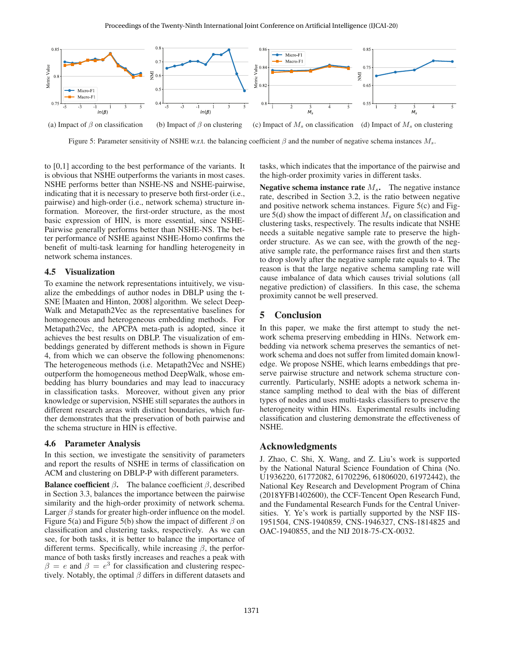

Figure 5: Parameter sensitivity of NSHE w.r.t. the balancing coefficient  $\beta$  and the number of negative schema instances  $M_s$ .

to [0,1] according to the best performance of the variants. It is obvious that NSHE outperforms the variants in most cases. NSHE performs better than NSHE-NS and NSHE-pairwise, indicating that it is necessary to preserve both first-order (i.e., pairwise) and high-order (i.e., network schema) structure information. Moreover, the first-order structure, as the most basic expression of HIN, is more essential, since NSHE-Pairwise generally performs better than NSHE-NS. The better performance of NSHE against NSHE-Homo confirms the benefit of multi-task learning for handling heterogeneity in network schema instances.

#### 4.5 Visualization

To examine the network representations intuitively, we visualize the embeddings of author nodes in DBLP using the t-SNE [Maaten and Hinton, 2008] algorithm. We select Deep-Walk and Metapath2Vec as the representative baselines for homogeneous and heterogeneous embedding methods. For Metapath2Vec, the APCPA meta-path is adopted, since it achieves the best results on DBLP. The visualization of embeddings generated by different methods is shown in Figure 4, from which we can observe the following phenomenons: The heterogeneous methods (i.e. Metapath2Vec and NSHE) outperform the homogeneous method DeepWalk, whose embedding has blurry boundaries and may lead to inaccuracy in classification tasks. Moreover, without given any prior knowledge or supervision, NSHE still separates the authors in different research areas with distinct boundaries, which further demonstrates that the preservation of both pairwise and the schema structure in HIN is effective.

#### 4.6 Parameter Analysis

In this section, we investigate the sensitivity of parameters and report the results of NSHE in terms of classification on ACM and clustering on DBLP-P with different parameters.

**Balance coefficient**  $\beta$ . The balance coefficient  $\beta$ , described in Section 3.3, balances the importance between the pairwise similarity and the high-order proximity of network schema. Larger  $\beta$  stands for greater high-order influence on the model. Figure 5(a) and Figure 5(b) show the impact of different  $\beta$  on classification and clustering tasks, respectively. As we can see, for both tasks, it is better to balance the importance of different terms. Specifically, while increasing  $\beta$ , the performance of both tasks firstly increases and reaches a peak with  $\beta = e$  and  $\beta = e^3$  for classification and clustering respectively. Notably, the optimal  $\beta$  differs in different datasets and tasks, which indicates that the importance of the pairwise and the high-order proximity varies in different tasks.

Negative schema instance rate  $M_s$ . The negative instance rate, described in Section 3.2, is the ratio between negative and positive network schema instances. Figure 5(c) and Figure 5(d) show the impact of different  $M_s$  on classification and clustering tasks, respectively. The results indicate that NSHE needs a suitable negative sample rate to preserve the highorder structure. As we can see, with the growth of the negative sample rate, the performance raises first and then starts to drop slowly after the negative sample rate equals to 4. The reason is that the large negative schema sampling rate will cause imbalance of data which causes trivial solutions (all negative prediction) of classifiers. In this case, the schema proximity cannot be well preserved.

#### 5 Conclusion

In this paper, we make the first attempt to study the network schema preserving embedding in HINs. Network embedding via network schema preserves the semantics of network schema and does not suffer from limited domain knowledge. We propose NSHE, which learns embeddings that preserve pairwise structure and network schema structure concurrently. Particularly, NSHE adopts a network schema instance sampling method to deal with the bias of different types of nodes and uses multi-tasks classifiers to preserve the heterogeneity within HINs. Experimental results including classification and clustering demonstrate the effectiveness of NSHE.

#### Acknowledgments

J. Zhao, C. Shi, X. Wang, and Z. Liu's work is supported by the National Natural Science Foundation of China (No. U1936220, 61772082, 61702296, 61806020, 61972442), the National Key Research and Development Program of China (2018YFB1402600), the CCF-Tencent Open Research Fund, and the Fundamental Research Funds for the Central Universities. Y. Ye's work is partially supported by the NSF IIS-1951504, CNS-1940859, CNS-1946327, CNS-1814825 and OAC-1940855, and the NIJ 2018-75-CX-0032.